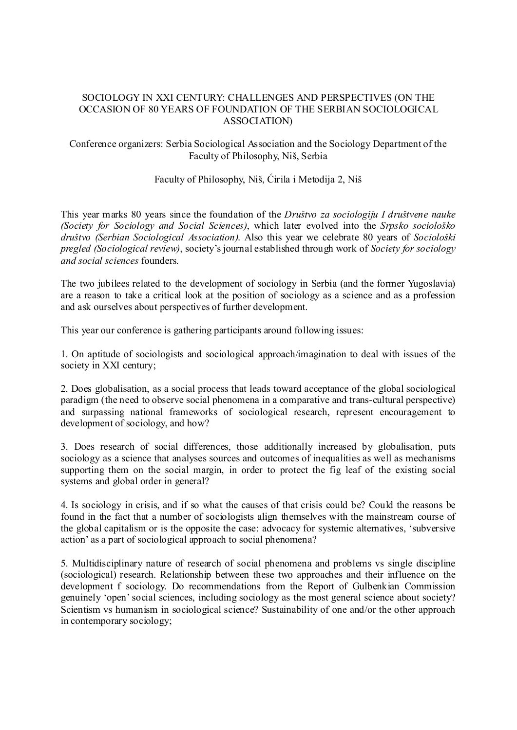# SOCIOLOGY IN XXI CENTURY: CHALLENGES AND PERSPECTIVES (ON THE OCCASION OF 80 YEARS OF FOUNDATION OF THE SERBIAN SOCIOLOGICAL ASSOCIATION)

# Conference organizers: Serbia Sociological Association and the Sociology Department of the Faculty of Philosophy, Niš, Serbia

# Faculty of Philosophy, Niš, Ćirila i Metodija 2, Niš

This year marks 80 years since the foundation of the *Društvo za sociologiju I društvene nauke (Society for Sociology and Social Sciences)*, which later evolved into the *Srpsko sociološko društvo (Serbian Sociological Association)*. Also this year we celebrate 80 years of *Sociološki pregled (Sociological review)*, society's journal established through work of *Society for sociology and social sciences* founders.

The two jubilees related to the development of sociology in Serbia (and the former Yugoslavia) are a reason to take a critical look at the position of sociology as a science and as a profession and ask ourselves about perspectives of further development.

This year our conference is gathering participants around following issues:

1. On aptitude of sociologists and sociological approach/imagination to deal with issues of the society in XXI century;

2. Does globalisation, as a social process that leads toward acceptance of the global sociological paradigm (the need to observe social phenomena in a comparative and trans-cultural perspective) and surpassing national frameworks of sociological research, represent encouragement to development of sociology, and how?

3. Does research of social differences, those additionally increased by globalisation, puts sociology as a science that analyses sources and outcomes of inequalities as well as mechanisms supporting them on the social margin, in order to protect the fig leaf of the existing social systems and global order in general?

4. Is sociology in crisis, and if so what the causes of that crisis could be? Could the reasons be found in the fact that a number of sociologists align themselves with the mainstream course of the global capitalism or is the opposite the case: advocacy for systemic alternatives, 'subversive action' as a part of sociological approach to social phenomena?

5. Multidisciplinary nature of research of social phenomena and problems vs single discipline (sociological) research. Relationship between these two approaches and their influence on the development f sociology. Do recommendations from the Report of Gulbenkian Commission genuinely 'open' social sciences, including sociology as the most general science about society? Scientism vs humanism in sociological science? Sustainability of one and/or the other approach in contemporary sociology;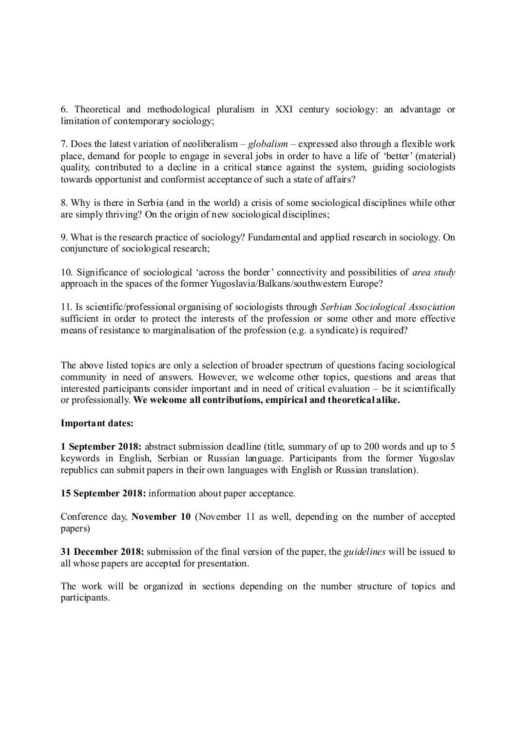6. Theoretical and methodological pluralism in XXI century sociology: an advantage or limitation of contemporary sociology;

7. Does the latest variation of neoliberalism – *globalism* – expressed also through a flexible work place, demand for people to engage in several jobs in order to have a life of 'better' (material) quality, contributed to a decline in a critical stance against the system, guiding sociologists towards opportunist and conformist acceptance of such a state of affairs?

8. Why is there in Serbia (and in the world) a crisis of some sociological disciplines while other are simply thriving? On the origin of new sociological disciplines;

9. What is the research practice of sociology? Fundamental and applied research in sociology. On conjuncture of sociological research;

10. Significance of sociological 'across the border' connectivity and possibilities of *area study* approach in the spaces of the former Yugoslavia/Balkans/southwestern Europe?

11. Is scientific/professional organising of sociologists through *Serbian Sociological Association* sufficient in order to protect the interests of the profession or some other and more effective means of resistance to marginalisation of the profession (e.g. a syndicate) is required?

The above listed topics are only a selection of broader spectrum of questions facing sociological community in need of answers. However, we welcome other topics, questions and areas that interested participants consider important and in need of critical evaluation – be it scientifically or professionally. **We welcome all contributions, empirical and theoretical alike.**

#### **Important dates:**

**1 September 2018:** abstract submission deadline (title, summary of up to 200 words and up to 5 keywords in English, Serbian or Russian language. Participants from the former Yugoslav republics can submit papers in their own languages with English or Russian translation).

**15 September 2018:** information about paper acceptance.

Conference day, **November 10** (November 11 as well, depending on the number of accepted papers)

**31 December 2018:** submission of the final version of the paper, the *guidelines* will be issued to all whose papers are accepted for presentation.

The work will be organized in sections depending on the number structure of topics and participants.